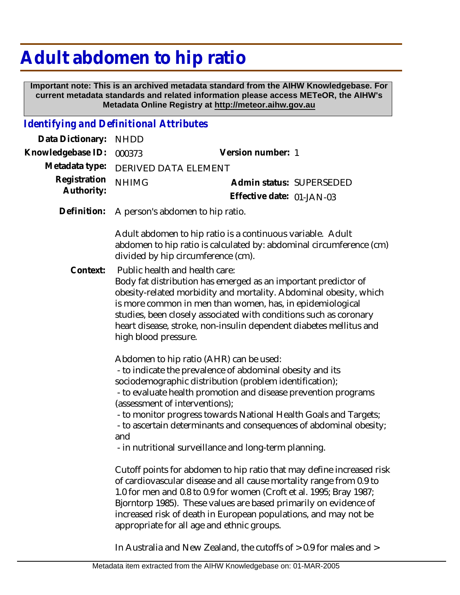## **Adult abdomen to hip ratio**

 **Important note: This is an archived metadata standard from the AIHW Knowledgebase. For current metadata standards and related information please access METeOR, the AIHW's Metadata Online Registry at http://meteor.aihw.gov.au**

## *Identifying and Definitional Attributes*

| Data Dictionary:           | <b>NHDD</b>                                                                                                                                                                                                                                                                                                                                                                                                                                                                   |                                                                                                                                                                                                                                                                                                                                             |
|----------------------------|-------------------------------------------------------------------------------------------------------------------------------------------------------------------------------------------------------------------------------------------------------------------------------------------------------------------------------------------------------------------------------------------------------------------------------------------------------------------------------|---------------------------------------------------------------------------------------------------------------------------------------------------------------------------------------------------------------------------------------------------------------------------------------------------------------------------------------------|
| Knowledgebase ID:          | 000373                                                                                                                                                                                                                                                                                                                                                                                                                                                                        | Version number: 1                                                                                                                                                                                                                                                                                                                           |
| Metadata type:             | DERIVED DATA ELEMENT                                                                                                                                                                                                                                                                                                                                                                                                                                                          |                                                                                                                                                                                                                                                                                                                                             |
| Registration<br>Authority: | <b>NHIMG</b>                                                                                                                                                                                                                                                                                                                                                                                                                                                                  | Admin status: SUPERSEDED                                                                                                                                                                                                                                                                                                                    |
|                            |                                                                                                                                                                                                                                                                                                                                                                                                                                                                               | Effective date: 01-JAN-03                                                                                                                                                                                                                                                                                                                   |
| Definition:                | A person's abdomen to hip ratio.                                                                                                                                                                                                                                                                                                                                                                                                                                              |                                                                                                                                                                                                                                                                                                                                             |
|                            | Adult abdomen to hip ratio is a continuous variable. Adult<br>abdomen to hip ratio is calculated by: abdominal circumference (cm)<br>divided by hip circumference (cm).                                                                                                                                                                                                                                                                                                       |                                                                                                                                                                                                                                                                                                                                             |
| Context:                   | Public health and health care:<br>high blood pressure.                                                                                                                                                                                                                                                                                                                                                                                                                        | Body fat distribution has emerged as an important predictor of<br>obesity-related morbidity and mortality. Abdominal obesity, which<br>is more common in men than women, has, in epidemiological<br>studies, been closely associated with conditions such as coronary<br>heart disease, stroke, non-insulin dependent diabetes mellitus and |
|                            | Abdomen to hip ratio (AHR) can be used:<br>- to indicate the prevalence of abdominal obesity and its<br>sociodemographic distribution (problem identification);<br>- to evaluate health promotion and disease prevention programs<br>(assessment of interventions);<br>- to monitor progress towards National Health Goals and Targets;<br>- to ascertain determinants and consequences of abdominal obesity;<br>and<br>- in nutritional surveillance and long-term planning. |                                                                                                                                                                                                                                                                                                                                             |
|                            | Cutoff points for abdomen to hip ratio that may define increased risk<br>of cardiovascular disease and all cause mortality range from 0.9 to<br>1.0 for men and 0.8 to 0.9 for women (Croft et al. 1995; Bray 1987;<br>Bjorntorp 1985). These values are based primarily on evidence of<br>increased risk of death in European populations, and may not be<br>appropriate for all age and ethnic groups.                                                                      |                                                                                                                                                                                                                                                                                                                                             |
|                            |                                                                                                                                                                                                                                                                                                                                                                                                                                                                               |                                                                                                                                                                                                                                                                                                                                             |

In Australia and New Zealand, the cutoffs of > 0.9 for males and >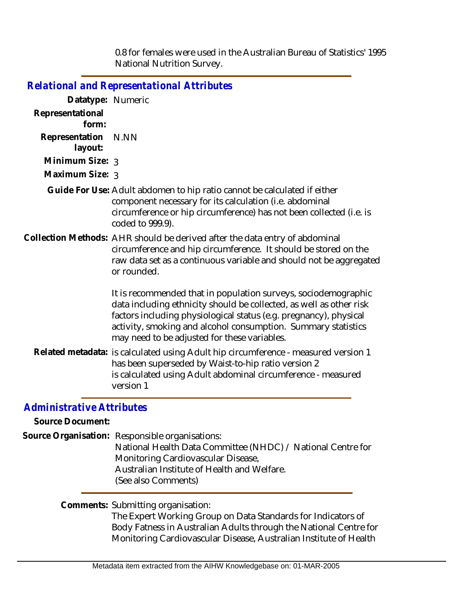0.8 for females were used in the Australian Bureau of Statistics' 1995 National Nutrition Survey.

|                           | <b>Relational and Representational Attributes</b>                                                                                                                                                                                                                                                                           |
|---------------------------|-----------------------------------------------------------------------------------------------------------------------------------------------------------------------------------------------------------------------------------------------------------------------------------------------------------------------------|
| Datatype: Numeric         |                                                                                                                                                                                                                                                                                                                             |
| Representational<br>form: |                                                                                                                                                                                                                                                                                                                             |
| Representation<br>layout: | N.NN                                                                                                                                                                                                                                                                                                                        |
| Minimum Size: 3           |                                                                                                                                                                                                                                                                                                                             |
| Maximum Size: 3           |                                                                                                                                                                                                                                                                                                                             |
|                           | Guide For Use: Adult abdomen to hip ratio cannot be calculated if either<br>component necessary for its calculation (i.e. abdominal<br>circumference or hip circumference) has not been collected (i.e. is<br>coded to 999.9).                                                                                              |
|                           | Collection Methods: AHR should be derived after the data entry of abdominal<br>circumference and hip circumference. It should be stored on the<br>raw data set as a continuous variable and should not be aggregated<br>or rounded.                                                                                         |
|                           | It is recommended that in population surveys, sociodemographic<br>data including ethnicity should be collected, as well as other risk<br>factors including physiological status (e.g. pregnancy), physical<br>activity, smoking and alcohol consumption. Summary statistics<br>may need to be adjusted for these variables. |
|                           | Related metadata: is calculated using Adult hip circumference - measured version 1<br>has been superseded by Waist-to-hip ratio version 2<br>is calculated using Adult abdominal circumference - measured<br>version 1                                                                                                      |

## *Administrative Attributes*

**Source Document:**

Source Organisation: Responsible organisations:

National Health Data Committee (NHDC) / National Centre for Monitoring Cardiovascular Disease, Australian Institute of Health and Welfare.

(See also Comments)

Comments: Submitting organisation:

The Expert Working Group on Data Standards for Indicators of Body Fatness in Australian Adults through the National Centre for Monitoring Cardiovascular Disease, Australian Institute of Health